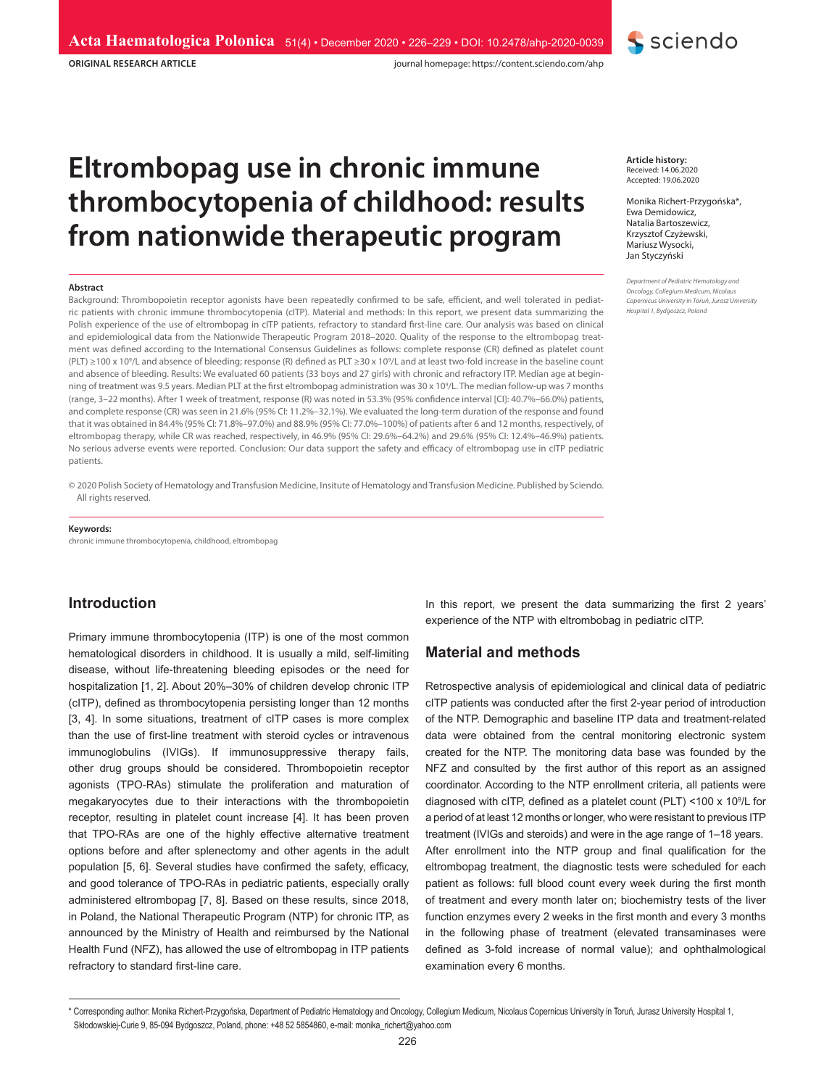**ORIGINAL RESEARCH ARTICLE**

journal homepage: https://content.sciendo.com/ahp

# **Eltrombopag use in chronic immune thrombocytopenia of childhood: results from nationwide therapeutic program**

#### **Abstract**

Background: Thrombopoietin receptor agonists have been repeatedly confirmed to be safe, efficient, and well tolerated in pediatric patients with chronic immune thrombocytopenia (cITP). Material and methods: In this report, we present data summarizing the Polish experience of the use of eltrombopag in cITP patients, refractory to standard first-line care. Our analysis was based on clinical and epidemiological data from the Nationwide Therapeutic Program 2018–2020. Quality of the response to the eltrombopag treatment was defined according to the International Consensus Guidelines as follows: complete response (CR) defined as platelet count (PLT) ≥100 x 109 /L and absence of bleeding; response (R) defined as PLT ≥30 x 109 /L and at least two-fold increase in the baseline count and absence of bleeding. Results: We evaluated 60 patients (33 boys and 27 girls) with chronic and refractory ITP. Median age at beginning of treatment was 9.5 years. Median PLT at the first eltrombopag administration was 30 x 109 /L. The median follow-up was 7 months (range, 3–22 months). After 1 week of treatment, response (R) was noted in 53.3% (95% confidence interval [CI]: 40.7%–66.0%) patients, and complete response (CR) was seen in 21.6% (95% CI: 11.2%–32.1%). We evaluated the long-term duration of the response and found that it was obtained in 84.4% (95% CI: 71.8%–97.0%) and 88.9% (95% CI: 77.0%–100%) of patients after 6 and 12 months, respectively, of eltrombopag therapy, while CR was reached, respectively, in 46.9% (95% CI: 29.6%–64.2%) and 29.6% (95% CI: 12.4%–46.9%) patients. No serious adverse events were reported. Conclusion: Our data support the safety and efficacy of eltrombopag use in cITP pediatric patients.

© 2020 Polish Society of Hematology and Transfusion Medicine, Insitute of Hematology and Transfusion Medicine. Published by Sciendo. All rights reserved.

## **Keywords:**

chronic immune thrombocytopenia, childhood, eltrombopag

## **Introduction**

Primary immune thrombocytopenia (ITP) is one of the most common hematological disorders in childhood. It is usually a mild, self-limiting disease, without life-threatening bleeding episodes or the need for hospitalization [1, 2]. About 20%–30% of children develop chronic ITP (cITP), defined as thrombocytopenia persisting longer than 12 months [3, 4]. In some situations, treatment of cITP cases is more complex than the use of first-line treatment with steroid cycles or intravenous immunoglobulins (IVIGs). If immunosuppressive therapy fails, other drug groups should be considered. Thrombopoietin receptor agonists (TPO-RAs) stimulate the proliferation and maturation of megakaryocytes due to their interactions with the thrombopoietin receptor, resulting in platelet count increase [4]. It has been proven that TPO-RAs are one of the highly effective alternative treatment options before and after splenectomy and other agents in the adult population [5, 6]. Several studies have confirmed the safety, efficacy, and good tolerance of TPO-RAs in pediatric patients, especially orally administered eltrombopag [7, 8]. Based on these results, since 2018, in Poland, the National Therapeutic Program (NTP) for chronic ITP, as announced by the Ministry of Health and reimbursed by the National Health Fund (NFZ), has allowed the use of eltrombopag in ITP patients refractory to standard first-line care.

**Article history:** Received: 14.06.2020 Accepted: 19.06.2020

Monika Richert-Przygońska\*, Ewa Demidowicz, Natalia Bartoszewicz, Krzysztof Czyżewski, Mariusz Wysocki, Jan Styczyński

**S** sciendo

*Department of Pediatric Hematology and Oncology, Collegium Medicum, Nicolaus Copernicus University in Toruń, Jurasz University Hospital 1, Bydgoszcz, Poland*

In this report, we present the data summarizing the first 2 years' experience of the NTP with eltrombobag in pediatric cITP.

## **Material and methods**

Retrospective analysis of epidemiological and clinical data of pediatric cITP patients was conducted after the first 2-year period of introduction of the NTP. Demographic and baseline ITP data and treatment-related data were obtained from the central monitoring electronic system created for the NTP. The monitoring data base was founded by the NFZ and consulted by the first author of this report as an assigned coordinator. According to the NTP enrollment criteria, all patients were diagnosed with cITP, defined as a platelet count (PLT) <100 x 10<sup>9</sup> /L for a period of at least 12 months or longer, who were resistant to previous ITP treatment (IVIGs and steroids) and were in the age range of 1–18 years. After enrollment into the NTP group and final qualification for the eltrombopag treatment, the diagnostic tests were scheduled for each patient as follows: full blood count every week during the first month of treatment and every month later on; biochemistry tests of the liver function enzymes every 2 weeks in the first month and every 3 months in the following phase of treatment (elevated transaminases were defined as 3-fold increase of normal value); and ophthalmological examination every 6 months.

<sup>\*</sup> Corresponding author: Monika Richert-Przygońska, Department of Pediatric Hematology and Oncology, Collegium Medicum, Nicolaus Copernicus University in Toruń, Jurasz University Hospital 1, Skłodowskiej-Curie 9, 85-094 Bydgoszcz, Poland, phone: +48 52 5854860, e-mail: monika\_richert@yahoo.com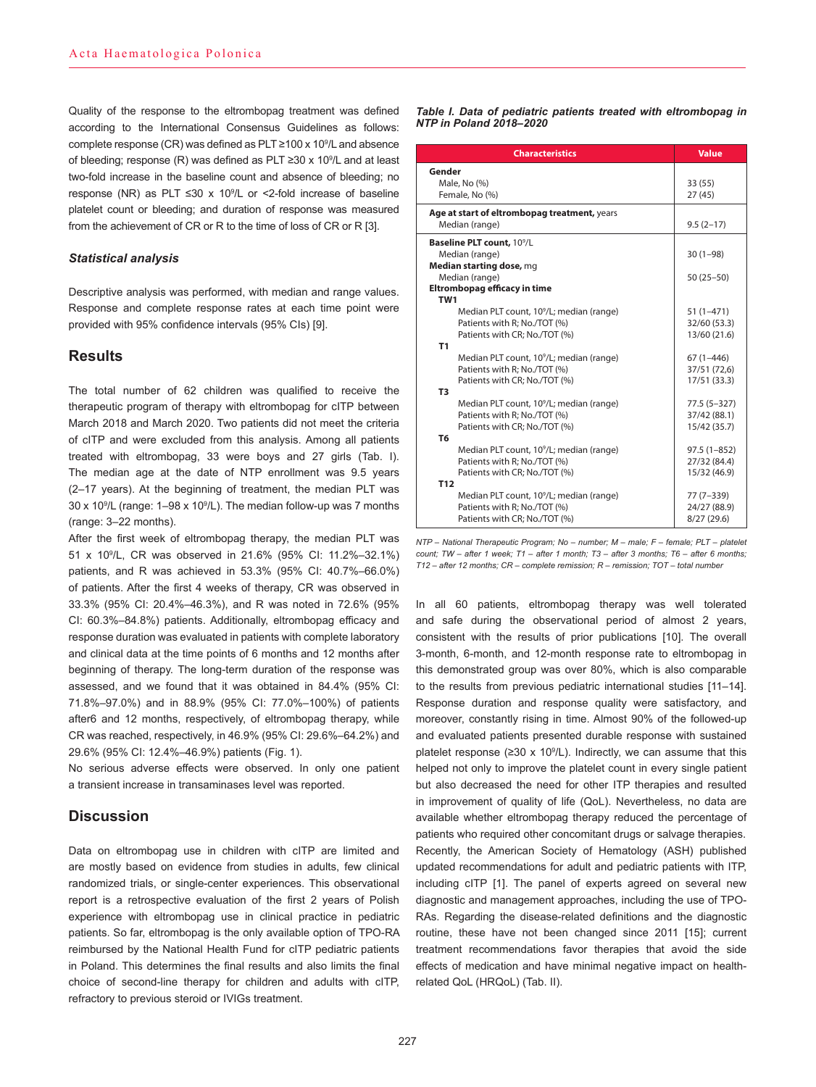Quality of the response to the eltrombopag treatment was defined according to the International Consensus Guidelines as follows: complete response (CR) was defined as PLT ≥100 x 10<sup>9</sup> /L and absence of bleeding; response (R) was defined as PLT ≥30 x 10<sup>9</sup> /L and at least two-fold increase in the baseline count and absence of bleeding; no response (NR) as PLT ≤30 x 10<sup>9</sup> /L or <2-fold increase of baseline platelet count or bleeding; and duration of response was measured from the achievement of CR or R to the time of loss of CR or R [3].

#### *Statistical analysis*

Descriptive analysis was performed, with median and range values. Response and complete response rates at each time point were provided with 95% confidence intervals (95% CIs) [9].

## **Results**

The total number of 62 children was qualified to receive the therapeutic program of therapy with eltrombopag for cITP between March 2018 and March 2020. Two patients did not meet the criteria of cITP and were excluded from this analysis. Among all patients treated with eltrombopag, 33 were boys and 27 girls (Tab. I). The median age at the date of NTP enrollment was 9.5 years (2–17 years). At the beginning of treatment, the median PLT was 30 x 109 /L (range: 1–98 x 10<sup>9</sup> /L). The median follow-up was 7 months (range: 3–22 months).

After the first week of eltrombopag therapy, the median PLT was 51 x 109 /L, CR was observed in 21.6% (95% CI: 11.2%–32.1%) patients, and R was achieved in 53.3% (95% CI: 40.7%–66.0%) of patients. After the first 4 weeks of therapy, CR was observed in 33.3% (95% CI: 20.4%–46.3%), and R was noted in 72.6% (95% CI: 60.3%–84.8%) patients. Additionally, eltrombopag efficacy and response duration was evaluated in patients with complete laboratory and clinical data at the time points of 6 months and 12 months after beginning of therapy. The long-term duration of the response was assessed, and we found that it was obtained in 84.4% (95% CI: 71.8%–97.0%) and in 88.9% (95% CI: 77.0%–100%) of patients after6 and 12 months, respectively, of eltrombopag therapy, while CR was reached, respectively, in 46.9% (95% CI: 29.6%–64.2%) and 29.6% (95% CI: 12.4%–46.9%) patients (Fig. 1).

No serious adverse effects were observed. In only one patient a transient increase in transaminases level was reported.

## **Discussion**

Data on eltrombopag use in children with cITP are limited and are mostly based on evidence from studies in adults, few clinical randomized trials, or single-center experiences. This observational report is a retrospective evaluation of the first 2 years of Polish experience with eltrombopag use in clinical practice in pediatric patients. So far, eltrombopag is the only available option of TPO-RA reimbursed by the National Health Fund for cITP pediatric patients in Poland. This determines the final results and also limits the final choice of second-line therapy for children and adults with cITP, refractory to previous steroid or IVIGs treatment.

*Table I. Data of pediatric patients treated with eltrombopag in NTP in Poland 2018–2020*

| <b>Characteristics</b>                               | <b>Value</b>    |  |
|------------------------------------------------------|-----------------|--|
| Gender                                               |                 |  |
| Male, No (%)                                         | 33 (55)         |  |
| Female, No (%)                                       | 27 (45)         |  |
| Age at start of eltrombopag treatment, years         |                 |  |
| Median (range)                                       | $9.5(2-17)$     |  |
| Baseline PLT count, 10 <sup>9</sup> /L               |                 |  |
| Median (range)                                       | $30(1-98)$      |  |
| Median starting dose, mg                             |                 |  |
| Median (range)                                       | $50(25-50)$     |  |
| Eltrombopag efficacy in time                         |                 |  |
| TW <sub>1</sub>                                      |                 |  |
| Median PLT count, 10 <sup>9</sup> /L; median (range) | $51(1-471)$     |  |
| Patients with R: No./TOT (%)                         | 32/60 (53.3)    |  |
| Patients with CR; No./TOT (%)                        | 13/60 (21.6)    |  |
| T1                                                   |                 |  |
| Median PLT count, 10 <sup>9</sup> /L; median (range) | 67 (1-446)      |  |
| Patients with R: No./TOT (%)                         | 37/51 (72,6)    |  |
| Patients with CR; No./TOT (%)                        | 17/51 (33.3)    |  |
| T <sub>3</sub>                                       |                 |  |
| Median PLT count, 10 <sup>9</sup> /L; median (range) | $77.5(5 - 327)$ |  |
| Patients with R; No./TOT (%)                         | 37/42 (88.1)    |  |
| Patients with CR: No./TOT (%)                        | 15/42 (35.7)    |  |
| T <sub>6</sub>                                       |                 |  |
| Median PLT count, 10 <sup>9</sup> /L; median (range) | $97.5(1 - 852)$ |  |
| Patients with R: No./TOT (%)                         | 27/32 (84.4)    |  |
| Patients with CR; No./TOT (%)                        | 15/32 (46.9)    |  |
| T <sub>12</sub>                                      |                 |  |
| Median PLT count, 10 <sup>9</sup> /L; median (range) | 77 (7-339)      |  |
| Patients with R; No./TOT (%)                         | 24/27 (88.9)    |  |
| Patients with CR; No./TOT (%)                        | 8/27(29.6)      |  |

*NTP – National Therapeutic Program; No – number; M – male; F – female; PLT – platelet count; TW – after 1 week; T1 – after 1 month; T3 – after 3 months; T6 – after 6 months; T12 – after 12 months; CR – complete remission; R – remission; TOT – total number*

In all 60 patients, eltrombopag therapy was well tolerated and safe during the observational period of almost 2 years, consistent with the results of prior publications [10]. The overall 3-month, 6-month, and 12-month response rate to eltrombopag in this demonstrated group was over 80%, which is also comparable to the results from previous pediatric international studies [11–14]. Response duration and response quality were satisfactory, and moreover, constantly rising in time. Almost 90% of the followed-up and evaluated patients presented durable response with sustained platelet response ( $\geq 30 \times 10^9$ /L). Indirectly, we can assume that this helped not only to improve the platelet count in every single patient but also decreased the need for other ITP therapies and resulted in improvement of quality of life (QoL). Nevertheless, no data are available whether eltrombopag therapy reduced the percentage of patients who required other concomitant drugs or salvage therapies. Recently, the American Society of Hematology (ASH) published updated recommendations for adult and pediatric patients with ITP, including cITP [1]. The panel of experts agreed on several new diagnostic and management approaches, including the use of TPO-RAs. Regarding the disease-related definitions and the diagnostic routine, these have not been changed since 2011 [15]; current treatment recommendations favor therapies that avoid the side effects of medication and have minimal negative impact on healthrelated QoL (HRQoL) (Tab. II).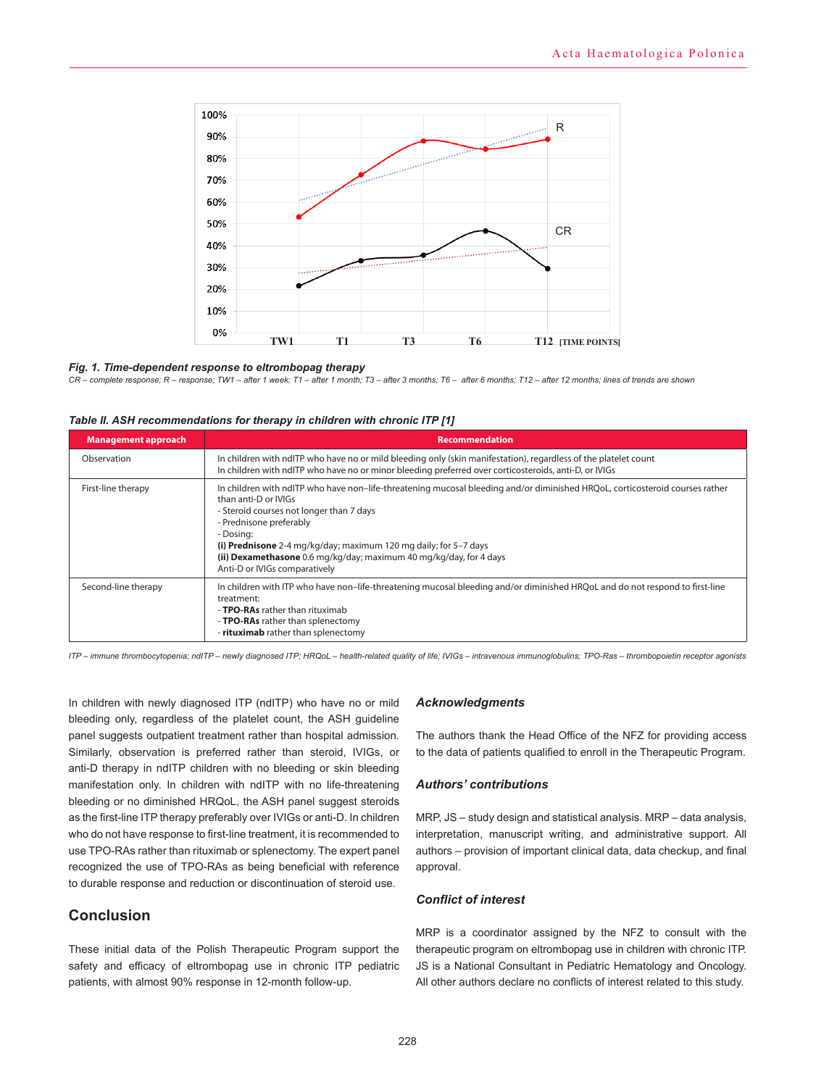

## *6 months; T12 – after 12 months; lines of trends are shown Fig. 1. Time-dependent response to eltrombopag therapy*

*CR – complete response; R – response; TW1 – after 1 week; T1 – after 1 month; T3 – after 3 months; T6 – after 6 months; T12 – after 12 months; lines of trends are shown*

| <b>Management approach</b> | <b>Recommendation</b>                                                                                                                                                                                                                                                                                                                                                                                               |
|----------------------------|---------------------------------------------------------------------------------------------------------------------------------------------------------------------------------------------------------------------------------------------------------------------------------------------------------------------------------------------------------------------------------------------------------------------|
| Observation                | In children with ndITP who have no or mild bleeding only (skin manifestation), regardless of the platelet count<br>In children with ndITP who have no or minor bleeding preferred over corticosteroids, anti-D, or IVIGs                                                                                                                                                                                            |
| First-line therapy         | In children with ndITP who have non-life-threatening mucosal bleeding and/or diminished HRQoL, corticosteroid courses rather<br>than anti-D or IVIGs<br>- Steroid courses not longer than 7 days<br>- Prednisone preferably<br>- Dosing:<br>(i) Prednisone 2-4 mg/kg/day; maximum 120 mg daily; for 5-7 days<br>(ii) Dexamethasone 0.6 mg/kg/day; maximum 40 mg/kg/day, for 4 days<br>Anti-D or IVIGs comparatively |
| Second-line therapy        | In children with ITP who have non-life-threatening mucosal bleeding and/or diminished HRQoL and do not respond to first-line<br>treatment:<br>- TPO-RAs rather than rituximab<br>- <b>TPO-RAs</b> rather than splenectomy<br>- rituximab rather than splenectomy                                                                                                                                                    |

*ITP – immune thrombocytopenia; ndITP – newly diagnosed ITP; HRQoL – health-related quality of life; IVIGs – intravenous immunoglobulins; TPO-Ras – thrombopoietin receptor agonists*

In children with newly diagnosed ITP (ndITP) who have no or mild bleeding only, regardless of the platelet count, the ASH guideline panel suggests outpatient treatment rather than hospital admission. Similarly, observation is preferred rather than steroid, IVIGs, or anti-D therapy in ndITP children with no bleeding or skin bleeding manifestation only. In children with ndITP with no life-threatening bleeding or no diminished HRQoL, the ASH panel suggest steroids as the first-line ITP therapy preferably over IVIGs or anti-D. In children who do not have response to first-line treatment, it is recommended to use TPO-RAs rather than rituximab or splenectomy. The expert panel recognized the use of TPO-RAs as being beneficial with reference to durable response and reduction or discontinuation of steroid use.

## **Conclusion**

These initial data of the Polish Therapeutic Program support the safety and efficacy of eltrombopag use in chronic ITP pediatric patients, with almost 90% response in 12-month follow-up.

## *Acknowledgments*

The authors thank the Head Office of the NFZ for providing access to the data of patients qualified to enroll in the Therapeutic Program.

## *Authors' contributions*

MRP, JS – study design and statistical analysis. MRP – data analysis, interpretation, manuscript writing, and administrative support. All authors – provision of important clinical data, data checkup, and final approval.

## *Conflict of interest*

MRP is a coordinator assigned by the NFZ to consult with the therapeutic program on eltrombopag use in children with chronic ITP. JS is a National Consultant in Pediatric Hematology and Oncology. All other authors declare no conflicts of interest related to this study.